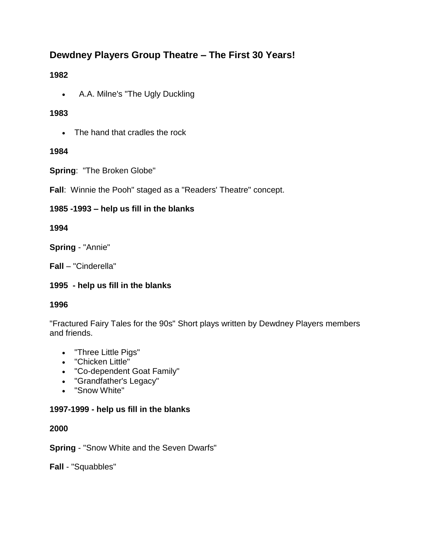# **Dewdney Players Group Theatre – The First 30 Years!**

### **1982**

A.A. Milne's "The Ugly Duckling

### **1983**

• The hand that cradles the rock

### **1984**

**Spring**: "The Broken Globe"

**Fall**: Winnie the Pooh" staged as a "Readers' Theatre" concept.

### **1985 -1993 – help us fill in the blanks**

### **1994**

**Spring** - "Annie"

**Fall** – "Cinderella"

## **1995 - help us fill in the blanks**

#### **1996**

"Fractured Fairy Tales for the 90s" Short plays written by Dewdney Players members and friends.

- "Three Little Pigs"
- "Chicken Little"
- "Co-dependent Goat Family"
- "Grandfather's Legacy"
- "Snow White"

#### **1997-1999 - help us fill in the blanks**

#### **2000**

**Spring** - "Snow White and the Seven Dwarfs"

**Fall** - "Squabbles"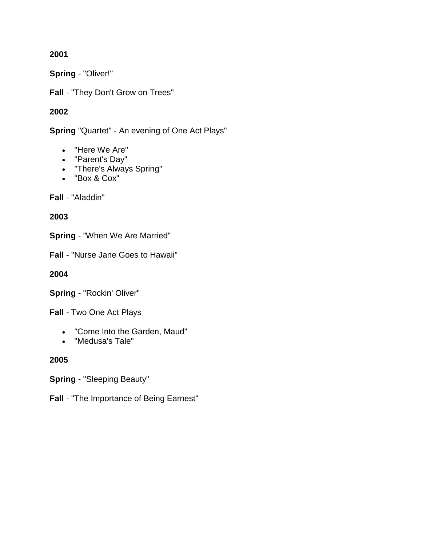**2001**

**Spring** - "Oliver!"

**Fall** - "They Don't Grow on Trees"

### **2002**

**Spring** "Quartet" - An evening of One Act Plays"

- "Here We Are"
- "Parent's Day"
- "There's Always Spring"
- "Box & Cox"

**Fall** - "Aladdin"

#### **2003**

**Spring** - "When We Are Married"

**Fall** - "Nurse Jane Goes to Hawaii"

**2004**

**Spring** - "Rockin' Oliver"

**Fall** - Two One Act Plays

- "Come Into the Garden, Maud"
- "Medusa's Tale"

**2005**

**Spring** - "Sleeping Beauty"

**Fall** - "The Importance of Being Earnest"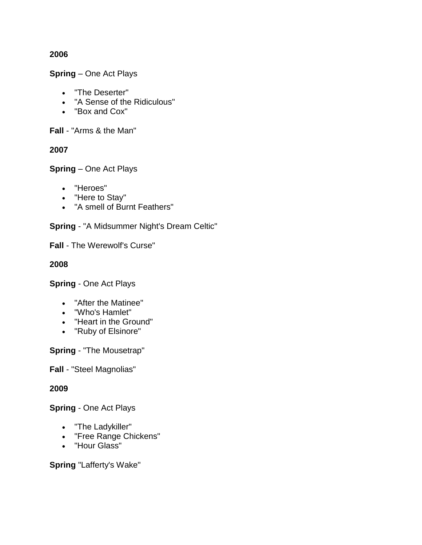#### **2006**

**Spring** – One Act Plays

- "The Deserter"
- "A Sense of the Ridiculous"
- "Box and Cox"

**Fall** - "Arms & the Man"

#### **2007**

**Spring** – One Act Plays

- "Heroes"
- "Here to Stay"
- "A smell of Burnt Feathers"

**Spring** - "A Midsummer Night's Dream Celtic"

**Fall** - The Werewolf's Curse"

#### **2008**

**Spring** - One Act Plays

- "After the Matinee"
- "Who's Hamlet"
- "Heart in the Ground"
- "Ruby of Elsinore"

**Spring** - "The Mousetrap"

**Fall** - "Steel Magnolias"

#### **2009**

**Spring** - One Act Plays

- "The Ladykiller"
- "Free Range Chickens"
- "Hour Glass"

**Spring** "Lafferty's Wake"